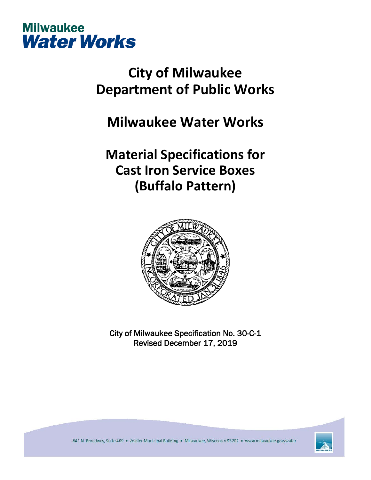

## **City of Milwaukee Department of Public Works**

## **Milwaukee Water Works**

## **Material Specifications for Cast Iron Service Boxes (Buffalo Pattern)**



City of Milwaukee Specification No. 30-C-1 Revised December 17, 2019

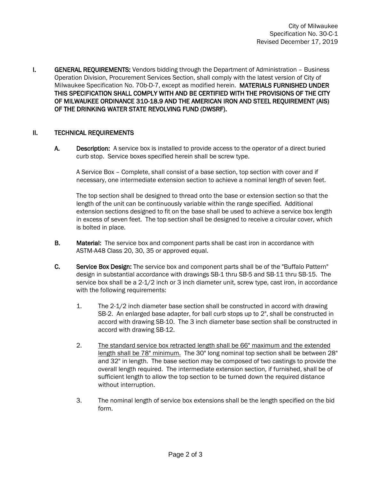I. GENERAL REQUIREMENTS: Vendors bidding through the Department of Administration - Business Operation Division, Procurement Services Section, shall comply with the latest version of City of Milwaukee Specification No. 70b-D-7, except as modified herein. MATERIALS FURNISHED UNDER THIS SPECIFICATION SHALL COMPLY WITH AND BE CERTIFIED WITH THE PROVISIONS OF THE CITY OF MILWAUKEE ORDINANCE 310-18.9 AND THE AMERICAN IRON AND STEEL REQUIREMENT (AIS) OF THE DRINKING WATER STATE REVOLVING FUND (DWSRF).

## II. TECHNICAL REQUIREMENTS

A. Description: A service box is installed to provide access to the operator of a direct buried curb stop. Service boxes specified herein shall be screw type.

A Service Box – Complete, shall consist of a base section, top section with cover and if necessary, one intermediate extension section to achieve a nominal length of seven feet.

The top section shall be designed to thread onto the base or extension section so that the length of the unit can be continuously variable within the range specified. Additional extension sections designed to fit on the base shall be used to achieve a service box length in excess of seven feet. The top section shall be designed to receive a circular cover, which is bolted in place.

- **B.** Material: The service box and component parts shall be cast iron in accordance with ASTM-A48 Class 20, 30, 35 or approved equal.
- C. Service Box Design: The service box and component parts shall be of the "Buffalo Pattern" design in substantial accordance with drawings SB-1 thru SB-5 and SB-11 thru SB-15. The service box shall be a 2-1/2 inch or 3 inch diameter unit, screw type, cast iron, in accordance with the following requirements:
	- 1. The 2-1/2 inch diameter base section shall be constructed in accord with drawing SB-2. An enlarged base adapter, for ball curb stops up to 2", shall be constructed in accord with drawing SB-10. The 3 inch diameter base section shall be constructed in accord with drawing SB-12.
	- 2. The standard service box retracted length shall be 66" maximum and the extended length shall be 78" minimum. The 30" long nominal top section shall be between 28" and 32" in length. The base section may be composed of two castings to provide the overall length required. The intermediate extension section, if furnished, shall be of sufficient length to allow the top section to be turned down the required distance without interruption.
	- 3. The nominal length of service box extensions shall be the length specified on the bid form.